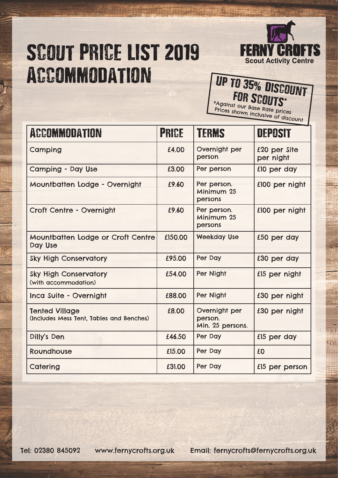## SCOUT PRICE LIST 2019 Accommodation



## UP TO 35% DISCOUNT \*Against our Base Rate prices

**Prices shown inclusive of discount**<br>Prices shown inclusive of discount

| <b>ACCOMMODATION</b>                                              | PRICE   | <b>TERMS</b>                                 | <b>DEPOSIT</b>            |
|-------------------------------------------------------------------|---------|----------------------------------------------|---------------------------|
| Camping                                                           | £4.00   | Overnight per<br>person                      | £20 per Site<br>per night |
| <b>Camping - Day Use</b>                                          | £3.00   | Per person                                   | £10 per day               |
| Mountbatten Lodge - Overnight                                     | £9.60   | Per person.<br>Minimum 25<br>persons         | £100 per night            |
| Croft Centre - Overnight                                          | £9.60   | Per person.<br>Minimum 25<br>persons         | £100 per night            |
| Mountbatten Lodge or Croft Centre<br>Day Use                      | £150.00 | <b>Weekday Use</b>                           | £50 per day               |
| <b>Sky High Conservatory</b>                                      | £95.00  | Per Day                                      | £30 per day               |
| <b>Sky High Conservatory</b><br>(with accommodation)              | £54.00  | Per Night                                    | £15 per night             |
| Inca Suite - Overnight                                            | £88,00  | Per Night                                    | £30 per night             |
| <b>Tented Village</b><br>(Includes Mess Tent, Tables and Benches) | £8.00   | Overnight per<br>person.<br>Min. 25 persons. | £30 per night             |
| Dilly's Den                                                       | £46.50  | Per Day                                      | £15 per day               |
| Roundhouse                                                        | £15.00  | Per Day                                      | £0                        |
| Catering                                                          | £31.00  | Per Day                                      | £15 per person            |